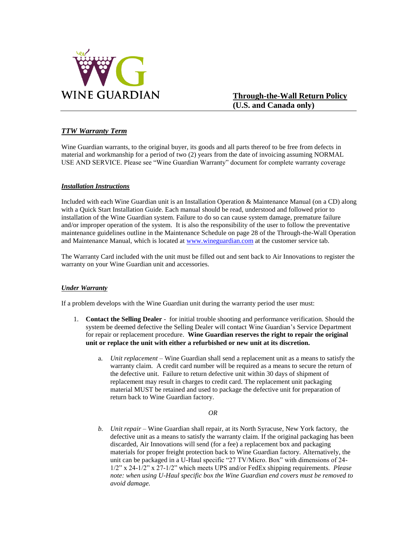

**Through-the-Wall Return Policy (U.S. and Canada only)**

# *TTW Warranty Term*

Wine Guardian warrants, to the original buyer, its goods and all parts thereof to be free from defects in material and workmanship for a period of two (2) years from the date of invoicing assuming NORMAL USE AND SERVICE. Please see "Wine Guardian Warranty" document for complete warranty coverage

# *Installation Instructions*

Included with each Wine Guardian unit is an Installation Operation & Maintenance Manual (on a CD) along with a Quick Start Installation Guide. Each manual should be read, understood and followed prior to installation of the Wine Guardian system. Failure to do so can cause system damage, premature failure and/or improper operation of the system. It is also the responsibility of the user to follow the preventative maintenance guidelines outline in the Maintenance Schedule on page 28 of the Through-the-Wall Operation and Maintenance Manual, which is located at [www.wineguardian.com](http://www.wineguardian.com/) at the customer service tab.

The Warranty Card included with the unit must be filled out and sent back to Air Innovations to register the warranty on your Wine Guardian unit and accessories.

# *Under Warranty*

If a problem develops with the Wine Guardian unit during the warranty period the user must:

- 1. **Contact the Selling Dealer** for initial trouble shooting and performance verification. Should the system be deemed defective the Selling Dealer will contact Wine Guardian's Service Department for repair or replacement procedure. **Wine Guardian reserves the right to repair the original unit or replace the unit with either a refurbished or new unit at its discretion.** 
	- a. *Unit replacement* Wine Guardian shall send a replacement unit as a means to satisfy the warranty claim. A credit card number will be required as a means to secure the return of the defective unit. Failure to return defective unit within 30 days of shipment of replacement may result in charges to credit card. The replacement unit packaging material MUST be retained and used to package the defective unit for preparation of return back to Wine Guardian factory.

#### *OR*

*b. Unit repair –* Wine Guardian shall repair, at its North Syracuse, New York factory, the defective unit as a means to satisfy the warranty claim. If the original packaging has been discarded, Air Innovations will send (for a fee) a replacement box and packaging materials for proper freight protection back to Wine Guardian factory. Alternatively, the unit can be packaged in a U-Haul specific "27 TV/Micro. Box" with dimensions of 24- 1/2" x 24-1/2" x 27-1/2" which meets UPS and/or FedEx shipping requirements. *Please note: when using U-Haul specific box the Wine Guardian end covers must be removed to avoid damage.*